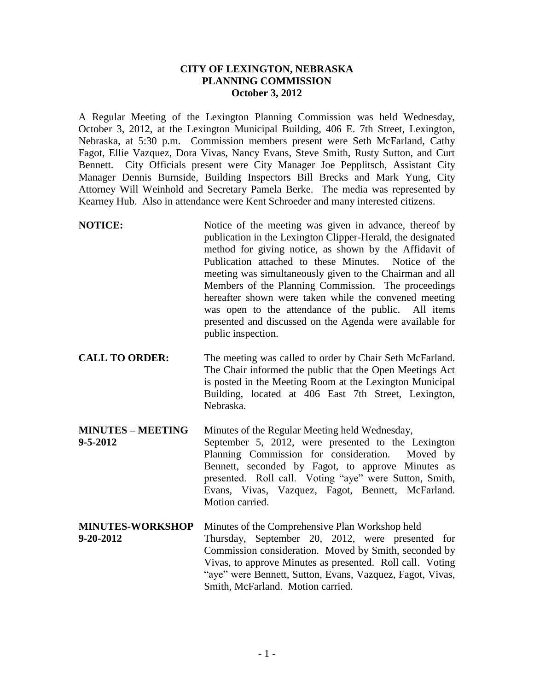## **CITY OF LEXINGTON, NEBRASKA PLANNING COMMISSION October 3, 2012**

A Regular Meeting of the Lexington Planning Commission was held Wednesday, October 3, 2012, at the Lexington Municipal Building, 406 E. 7th Street, Lexington, Nebraska, at 5:30 p.m. Commission members present were Seth McFarland, Cathy Fagot, Ellie Vazquez, Dora Vivas, Nancy Evans, Steve Smith, Rusty Sutton, and Curt Bennett. City Officials present were City Manager Joe Pepplitsch, Assistant City Manager Dennis Burnside, Building Inspectors Bill Brecks and Mark Yung, City Attorney Will Weinhold and Secretary Pamela Berke. The media was represented by Kearney Hub. Also in attendance were Kent Schroeder and many interested citizens.

- **NOTICE:** Notice of the meeting was given in advance, thereof by publication in the Lexington Clipper-Herald, the designated method for giving notice, as shown by the Affidavit of Publication attached to these Minutes. Notice of the meeting was simultaneously given to the Chairman and all Members of the Planning Commission. The proceedings hereafter shown were taken while the convened meeting was open to the attendance of the public. All items presented and discussed on the Agenda were available for public inspection.
- **CALL TO ORDER:** The meeting was called to order by Chair Seth McFarland. The Chair informed the public that the Open Meetings Act is posted in the Meeting Room at the Lexington Municipal Building, located at 406 East 7th Street, Lexington, Nebraska.
- **MINUTES – MEETING** Minutes of the Regular Meeting held Wednesday, **9-5-2012** September 5, 2012, were presented to the Lexington Planning Commission for consideration. Moved by Bennett, seconded by Fagot, to approve Minutes as presented. Roll call. Voting "aye" were Sutton, Smith, Evans, Vivas, Vazquez, Fagot, Bennett, McFarland. Motion carried.
- **MINUTES-WORKSHOP** Minutes of the Comprehensive Plan Workshop held **9-20-2012** Thursday, September 20, 2012, were presented for Commission consideration. Moved by Smith, seconded by Vivas, to approve Minutes as presented. Roll call. Voting "aye" were Bennett, Sutton, Evans, Vazquez, Fagot, Vivas, Smith, McFarland. Motion carried.